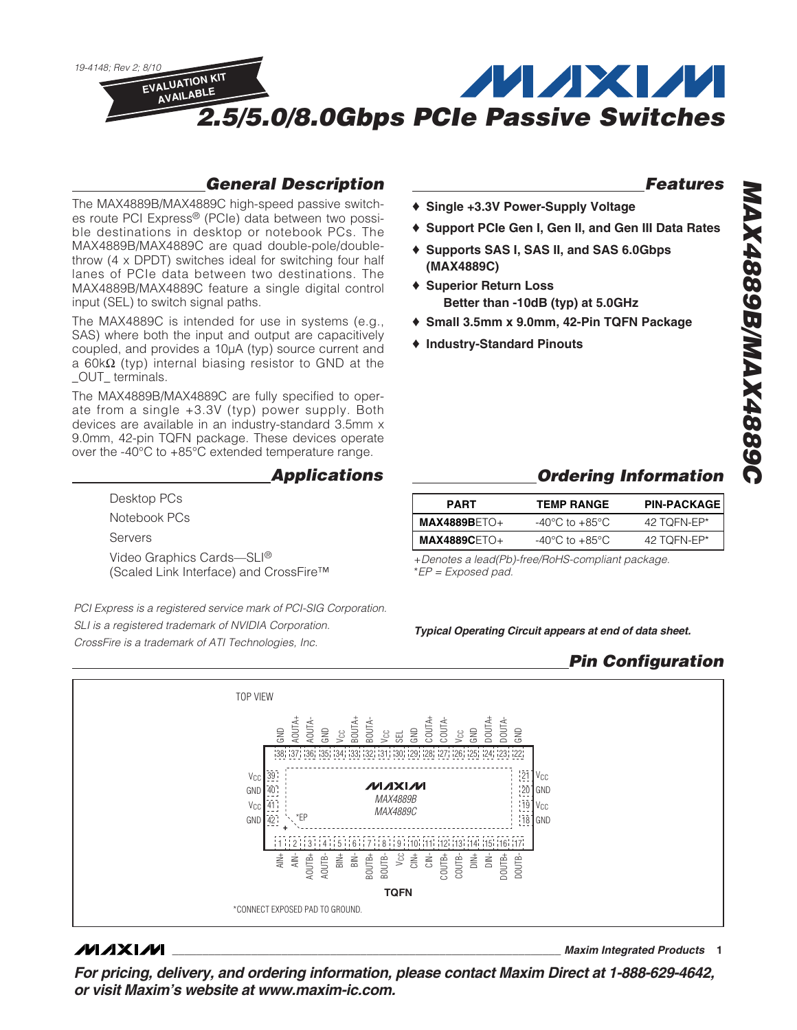

## **General Description**

The MAX4889B/MAX4889C high-speed passive switches route PCI Express® (PCIe) data between two possible destinations in desktop or notebook PCs. The MAX4889B/MAX4889C are quad double-pole/doublethrow (4 x DPDT) switches ideal for switching four half lanes of PCIe data between two destinations. The MAX4889B/MAX4889C feature a single digital control input (SEL) to switch signal paths.

The MAX4889C is intended for use in systems (e.g., SAS) where both the input and output are capacitively coupled, and provides a 10µA (typ) source current and a 60kΩ (typ) internal biasing resistor to GND at the \_OUT\_ terminals.

The MAX4889B/MAX4889C are fully specified to operate from a single +3.3V (typ) power supply. Both devices are available in an industry-standard 3.5mm x 9.0mm, 42-pin TQFN package. These devices operate over the -40°C to +85°C extended temperature range.

#### **Applications**

Desktop PCs Notebook PCs Servers Video Graphics Cards—SLI® (Scaled Link Interface) and CrossFire™

PCI Express is a registered service mark of PCI-SIG Corporation. SLI is a registered trademark of NVIDIA Corporation. CrossFire is a trademark of ATI Technologies, Inc.

## **Features**

- ♦ **Single +3.3V Power-Supply Voltage**
- ♦ **Support PCIe Gen I, Gen II, and Gen III Data Rates**
- ♦ **Supports SAS I, SAS II, and SAS 6.0Gbps (MAX4889C)**
- ♦ **Superior Return Loss Better than -10dB (typ) at 5.0GHz**
- ♦ **Small 3.5mm x 9.0mm, 42-Pin TQFN Package**
- ♦ **Industry-Standard Pinouts**

## **Ordering Information**

| <b>PART</b>    | <b>TEMP RANGE</b>                  | <b>PIN-PACKAGE</b> |
|----------------|------------------------------------|--------------------|
| $MAX4889BETO+$ | $-40^{\circ}$ C to $+85^{\circ}$ C | 42 TOFN-EP*        |
| $MAX4889CETO+$ | $-40^{\circ}$ C to $+85^{\circ}$ C | 42 TOFN-EP*        |

+Denotes a lead(Pb)-free/RoHS-compliant package. \*EP = Exposed pad.

**Typical Operating Circuit appears at end of data sheet.**

## **Pin Configuration**



#### **MAXM**

**\_\_\_\_\_\_\_\_\_\_\_\_\_\_\_\_\_\_\_\_\_\_\_\_\_\_\_\_\_\_\_\_\_\_\_\_\_\_\_\_\_\_\_\_\_\_\_\_\_\_\_\_\_\_\_\_\_\_\_\_\_\_\_\_ Maxim Integrated Products 1**

**For pricing, delivery, and ordering information, please contact Maxim Direct at 1-888-629-4642, or visit Maxim's website at www.maxim-ic.com.**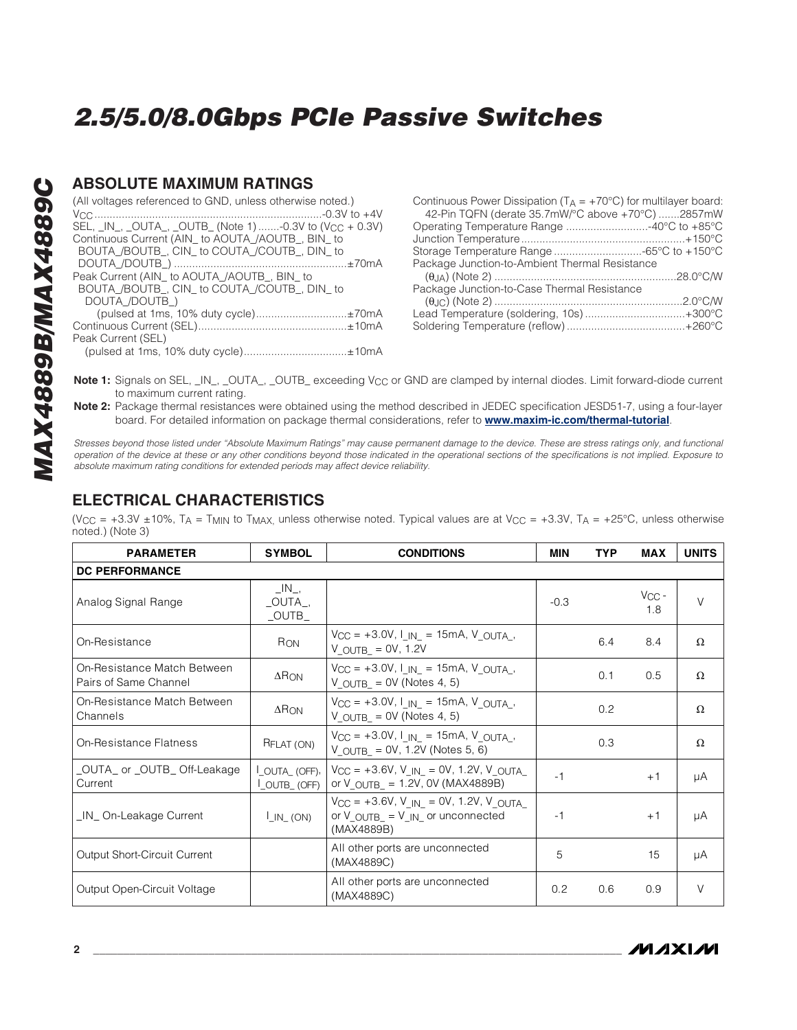#### **ABSOLUTE MAXIMUM RATINGS**

| (All voltages referenced to GND, unless otherwise noted.)            | Continuous Po<br>42-Pin TQFN   |
|----------------------------------------------------------------------|--------------------------------|
| SEL, _IN_, _OUTA_, _OUTB_ (Note 1) -0.3V to (V <sub>CC</sub> + 0.3V) | Operating Tem                  |
| Continuous Current (AIN to AOUTA /AOUTB, BIN to                      | Junction Temp                  |
| BOUTA /BOUTB, CIN to COUTA /COUTB, DIN to                            | Storage Temp                   |
|                                                                      | Package Junc                   |
| Peak Current (AIN_ to AOUTA_/AOUTB_, BIN_ to                         | $(\theta_{J A})$ (Note:        |
| BOUTA /BOUTB, CIN to COUTA /COUTB, DIN to                            | Package Junc                   |
| DOUTA /DOUTB)                                                        | $(\theta_{\cdot}   C)$ (Note ) |
| (pulsed at 1ms, 10% duty cycle)±70mA                                 | Lead Tempera                   |
|                                                                      | Soldering Tem                  |
| Peak Current (SEL)                                                   |                                |
| (pulsed at 1ms, 10% duty cycle)±10mA                                 |                                |

| Continuous Power Dissipation ( $T_A = +70^{\circ}$ C) for multilayer board: |  |
|-----------------------------------------------------------------------------|--|
| 42-Pin TQFN (derate 35.7mW/°C above +70°C) 2857mW                           |  |
| Operating Temperature Range 40°C to +85°C                                   |  |
|                                                                             |  |
| Storage Temperature Range -65°C to +150°C                                   |  |
| Package Junction-to-Ambient Thermal Resistance                              |  |
|                                                                             |  |
| Package Junction-to-Case Thermal Resistance                                 |  |
|                                                                             |  |
| Lead Temperature (soldering, 10s)+300°C                                     |  |
|                                                                             |  |
|                                                                             |  |

Note 1: Signals on SEL, \_IN\_, \_OUTA\_, \_OUTB\_ exceeding V<sub>CC</sub> or GND are clamped by internal diodes. Limit forward-diode current to maximum current rating.

**Note 2:** Package thermal resistances were obtained using the method described in JEDEC specification JESD51-7, using a four-layer board. For detailed information on package thermal considerations, refer to **www.maxim-ic.com/thermal-tutorial**.

Stresses beyond those listed under "Absolute Maximum Ratings" may cause permanent damage to the device. These are stress ratings only, and functional operation of the device at these or any other conditions beyond those indicated in the operational sections of the specifications is not implied. Exposure to absolute maximum rating conditions for extended periods may affect device reliability.

### **ELECTRICAL CHARACTERISTICS**

(V<sub>CC</sub> = +3.3V ±10%, T<sub>A</sub> = T<sub>MIN</sub> to T<sub>MAX</sub>, unless otherwise noted. Typical values are at V<sub>CC</sub> = +3.3V, T<sub>A</sub> = +25°C, unless otherwise noted.) (Note 3)

| <b>PARAMETER</b>                                     | <b>SYMBOL</b>                                         | <b>CONDITIONS</b><br>MIN                                                                                             |        | <b>TYP</b> | <b>MAX</b>        | <b>UNITS</b> |
|------------------------------------------------------|-------------------------------------------------------|----------------------------------------------------------------------------------------------------------------------|--------|------------|-------------------|--------------|
| <b>DC PERFORMANCE</b>                                |                                                       |                                                                                                                      |        |            |                   |              |
| Analog Signal Range                                  | $\Box N$ ,<br>$\_OUTA$ <sub>-</sub><br>$\_$ OUTB $\_$ |                                                                                                                      | $-0.3$ |            | $V_{CC}$ -<br>1.8 | $\vee$       |
| On-Resistance                                        | R <sub>ON</sub>                                       | $V_{CC} = +3.0V, I_{IN} = 15mA, V_{OUTA}$<br>$V$ OUTB = 0V, 1.2V                                                     |        | 6.4        | 8.4               | $\Omega$     |
| On-Resistance Match Between<br>Pairs of Same Channel | $\Delta$ R <sub>ON</sub>                              | $V_{CC} = +3.0V, I_{IN} = 15mA, V_{OUTA}$<br>$V_{OUTB_} = 0V$ (Notes 4, 5)                                           |        | 0.1        | 0.5               | $\Omega$     |
| On-Resistance Match Between<br>Channels              | $\Delta$ RON                                          | $V_{CC} = +3.0V, I_{IN} = 15mA, V_{OUTA}$<br>$V$ OUTB = 0V (Notes 4, 5)                                              |        | 0.2        |                   | Ω            |
| On-Resistance Flatness                               | RFLAT (ON)                                            | $V_{CC} = +3.0V, I_{IN} = 15mA, V_{OUTA}$<br>V OUTB = $0V$ , 1.2V (Notes 5, 6)                                       |        | 0.3        |                   | $\Omega$     |
| _OUTA_ or _OUTB_ Off-Leakage<br>Current              | LOUTA_(OFF),<br>LOUTB_(OFF)                           | $V_{CC}$ = +3.6V, V <sub>IN</sub> = 0V, 1.2V, V <sub>OUTA</sub><br>or $V_{\text{OUTB}} = 1.2V$ , OV (MAX4889B)       | $-1$   |            | $+1$              | μA           |
| _IN_On-Leakage Current                               | $LIN_{(ON)}$                                          | $V_{CC} = +3.6V$ , $V_{IN} = 0V$ , 1.2V, V OUTA<br>or $V_{\text{OUTB}} = V_{\text{IN}}$ or unconnected<br>(MAX4889B) | -1     |            | $+1$              | μA           |
| Output Short-Circuit Current                         |                                                       | All other ports are unconnected<br>(MAX4889C)                                                                        | 5      |            | 15                | μA           |
| Output Open-Circuit Voltage                          |                                                       | All other ports are unconnected<br>(MAX4889C)                                                                        | 0.2    | 0.6        | 0.9               | $\vee$       |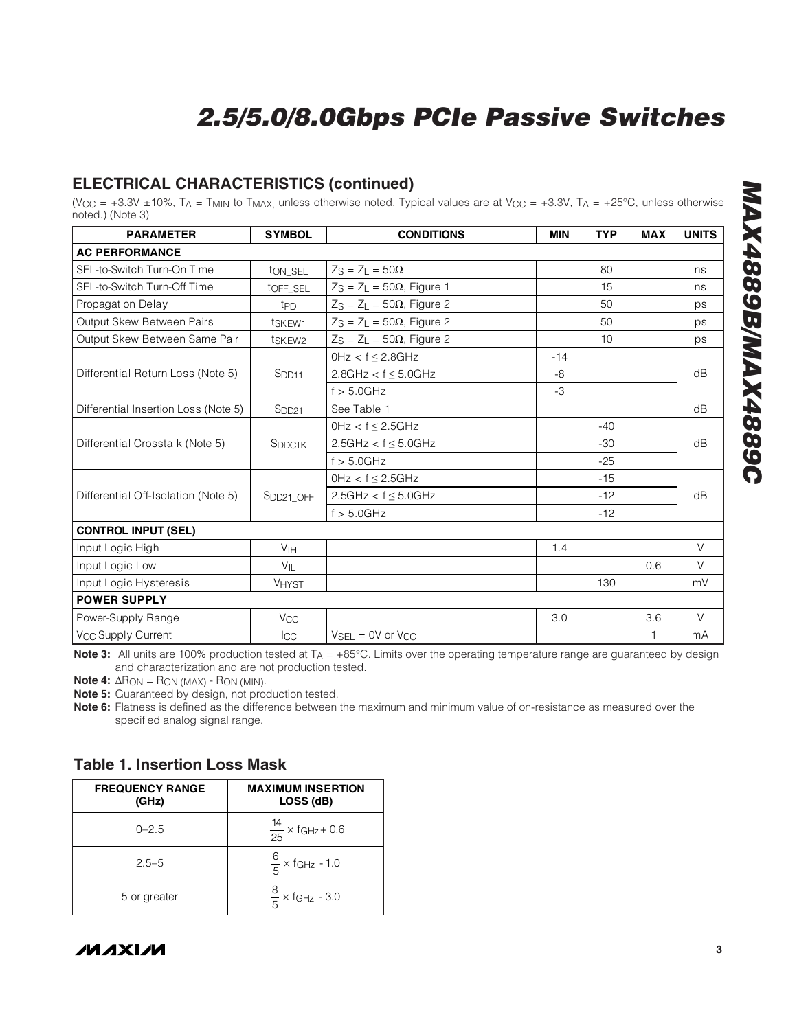## **ELECTRICAL CHARACTERISTICS (continued)**

(V<sub>CC</sub> = +3.3V ±10%, T<sub>A</sub> = T<sub>MIN</sub> to T<sub>MAX,</sub> unless otherwise noted. Typical values are at V<sub>CC</sub> = +3.3V, T<sub>A</sub> = +25°C, unless otherwise noted.) (Note 3)

| <b>PARAMETER</b>                     | <b>SYMBOL</b>         | <b>CONDITIONS</b>                        | <b>MIN</b> | <b>TYP</b> | <b>MAX</b> | <b>UNITS</b> |
|--------------------------------------|-----------------------|------------------------------------------|------------|------------|------------|--------------|
| <b>AC PERFORMANCE</b>                |                       |                                          |            |            |            |              |
| SEL-to-Switch Turn-On Time           | ton_seL               | $Z_S = Z_L = 50\Omega$                   |            | 80         |            | ns           |
| SEL-to-Switch Turn-Off Time          | tOFF_SEL              | $Z_S = Z_L = 50\Omega$ , Figure 1        |            | 15         |            | ns           |
| Propagation Delay                    | t <sub>PD</sub>       | $Z_S = Z_L = 50\Omega$ , Figure 2        |            | 50         |            | ps           |
| Output Skew Between Pairs            | t <sub>SKEW1</sub>    | $Z_S = Z_L = 50\Omega$ , Figure 2        |            | 50         |            | ps           |
| Output Skew Between Same Pair        | t <sub>SKEW2</sub>    | $Z_S = Z_L = 50\Omega$ , Figure 2        |            | 10         |            | ps           |
|                                      |                       | $0$ Hz < $f \le 2.8$ GHz                 | $-14$      |            |            |              |
| Differential Return Loss (Note 5)    | $S$ <sub>DD11</sub>   | 2.8GHz < $f \le 5.0$ GHz                 | -8         |            |            | dB           |
|                                      |                       | $f > 5.0$ GHz                            | $-3$       |            |            |              |
| Differential Insertion Loss (Note 5) | S <sub>DD21</sub>     | See Table 1                              |            |            |            | dB           |
|                                      |                       | $0Hz < f \leq 2.5GHz$                    |            | $-40$      |            |              |
| Differential Crosstalk (Note 5)      | <b>SDDCTK</b>         | $2.5GHz < f \leq 5.0GHz$                 |            | $-30$      |            | dB           |
|                                      |                       | $f > 5.0$ GHz                            |            | $-25$      |            |              |
|                                      |                       | $0Hz < f \leq 2.5GHz$                    |            | $-15$      |            |              |
| Differential Off-Isolation (Note 5)  | SDD <sub>21</sub> OFF | 2.5GHz < $f \le 5.0$ GHz                 |            | $-12$      |            | dB           |
|                                      |                       | $f > 5.0$ GHz                            |            | $-12$      |            |              |
| <b>CONTROL INPUT (SEL)</b>           |                       |                                          |            |            |            |              |
| Input Logic High                     | V <sub>IH</sub>       |                                          | 1.4        |            |            | V            |
| Input Logic Low                      | $V_{\parallel}$       |                                          |            |            | 0.6        | V            |
| Input Logic Hysteresis               | <b>VHYST</b>          |                                          |            | 130        |            | mV           |
| <b>POWER SUPPLY</b>                  |                       |                                          |            |            |            |              |
| Power-Supply Range                   | V <sub>CC</sub>       |                                          | 3.0        |            | 3.6        | $\vee$       |
| V <sub>CC</sub> Supply Current       | Icc                   | $V_{\text{SEL}} = 0V$ or $V_{\text{CC}}$ |            |            |            | mA           |

**Note 3:** All units are 100% production tested at T<sub>A</sub> = +85°C. Limits over the operating temperature range are guaranteed by design and characterization and are not production tested.

**Note 4:**  $\Delta R_{ON} = R_{ON}$  (MAX) -  $R_{ON}$  (MIN).

**Note 5:** Guaranteed by design, not production tested.

**Note 6:** Flatness is defined as the difference between the maximum and minimum value of on-resistance as measured over the specified analog signal range.

| <b>FREQUENCY RANGE</b><br>(GHz) | <b>MAXIMUM INSERTION</b><br>LOSS (dB) |
|---------------------------------|---------------------------------------|
| $0 - 2.5$                       | $\frac{14}{25}$ × fgHz + 0.6          |
| $2.5 - 5$                       | $\frac{6}{5}$ × fgHz - 1.0            |
| 5 or greater                    | $\frac{8}{5}$ × fgHz - 3.0            |

#### **Table 1. Insertion Loss Mask**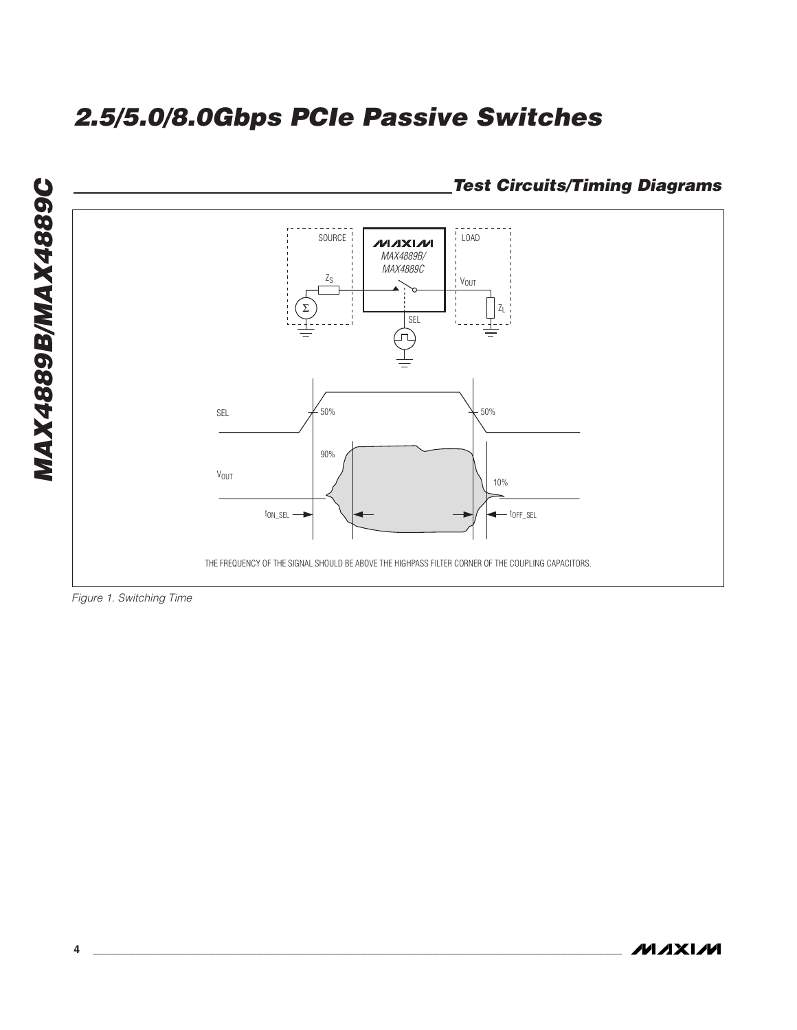

Figure 1. Switching Time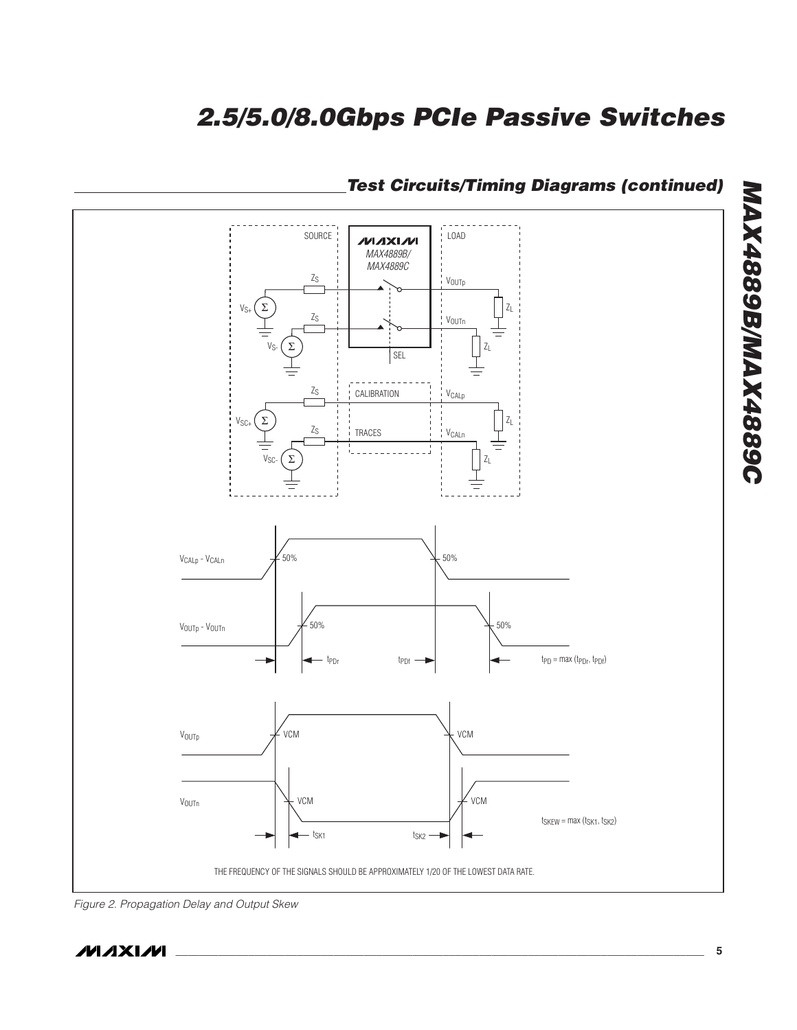

# **Test Circuits/Timing Diagrams (continued)**

Figure 2. Propagation Delay and Output Skew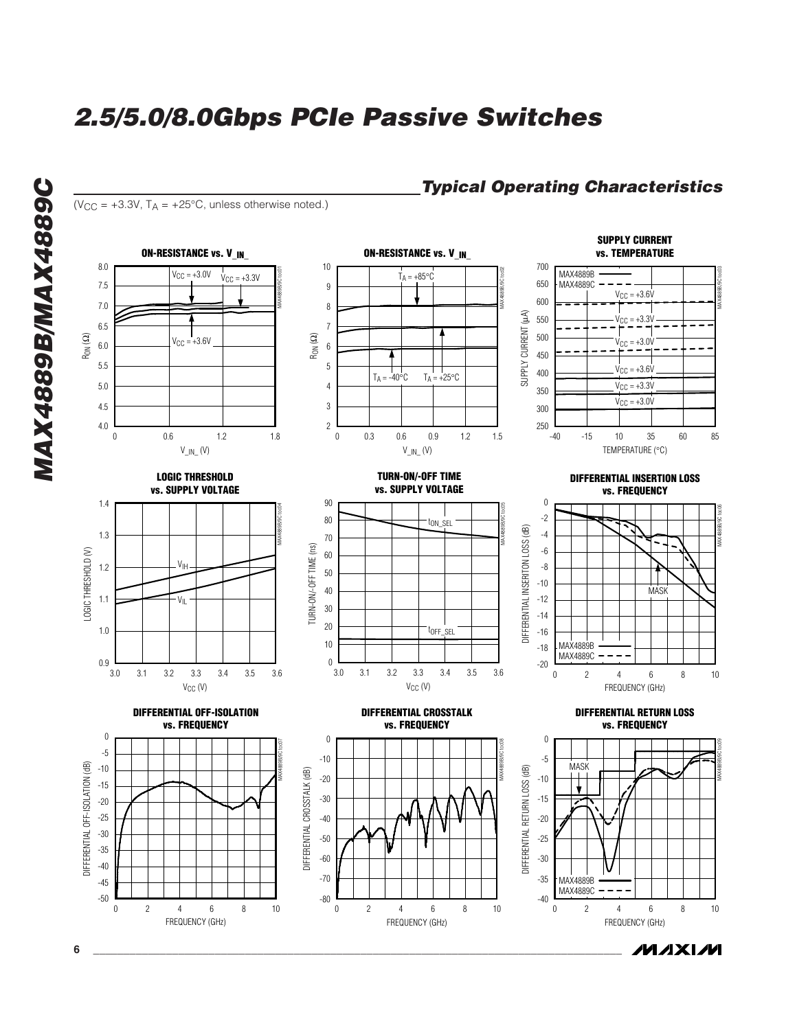**Typical Operating Characteristics**



**MAXIM**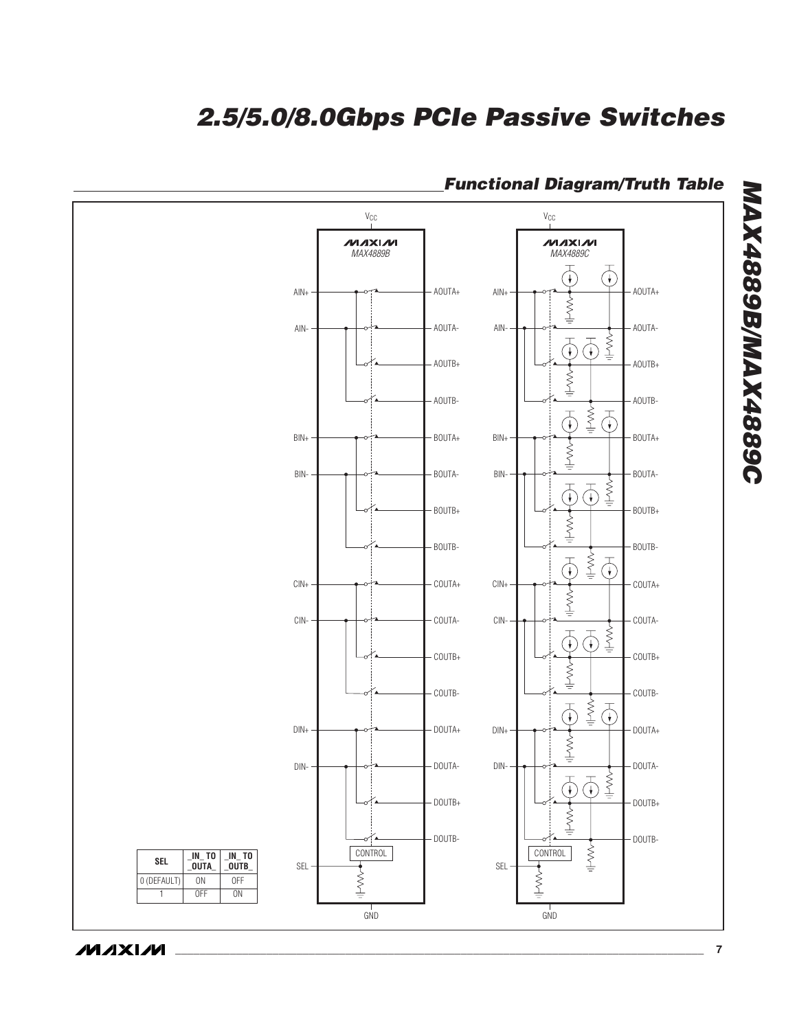

# **Functional Diagram/Truth Table**

**MAXIM** 

**MAX4889B/MAX4889C**

**MAX4889B/MAX4889C**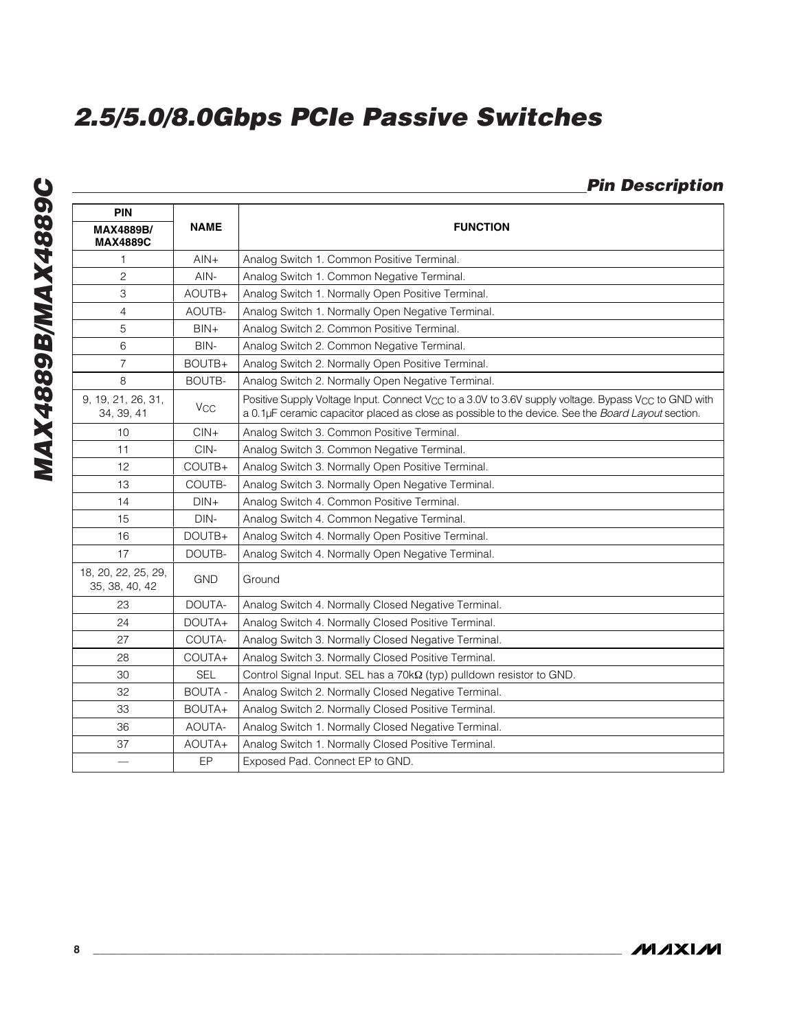# **Pin Description**

| <b>PIN</b>                            |                |                                                                                                                                                                                                                                   |
|---------------------------------------|----------------|-----------------------------------------------------------------------------------------------------------------------------------------------------------------------------------------------------------------------------------|
| <b>MAX4889B/</b><br><b>MAX4889C</b>   | <b>NAME</b>    | <b>FUNCTION</b>                                                                                                                                                                                                                   |
| 1                                     | $AlN+$         | Analog Switch 1. Common Positive Terminal.                                                                                                                                                                                        |
| $\overline{c}$                        | AIN-           | Analog Switch 1. Common Negative Terminal.                                                                                                                                                                                        |
| 3                                     | AOUTB+         | Analog Switch 1. Normally Open Positive Terminal.                                                                                                                                                                                 |
| $\overline{4}$                        | AOUTB-         | Analog Switch 1. Normally Open Negative Terminal.                                                                                                                                                                                 |
| 5                                     | $BIN+$         | Analog Switch 2. Common Positive Terminal.                                                                                                                                                                                        |
| 6                                     | BIN-           | Analog Switch 2. Common Negative Terminal.                                                                                                                                                                                        |
| $\overline{7}$                        | BOUTB+         | Analog Switch 2. Normally Open Positive Terminal.                                                                                                                                                                                 |
| 8                                     | <b>BOUTB-</b>  | Analog Switch 2. Normally Open Negative Terminal.                                                                                                                                                                                 |
| 9, 19, 21, 26, 31,<br>34, 39, 41      | $V_{CC}$       | Positive Supply Voltage Input. Connect V <sub>CC</sub> to a 3.0V to 3.6V supply voltage. Bypass V <sub>CC</sub> to GND with<br>a 0.1µF ceramic capacitor placed as close as possible to the device. See the Board Layout section. |
| 10                                    | $CIN +$        | Analog Switch 3. Common Positive Terminal.                                                                                                                                                                                        |
| 11                                    | CIN-           | Analog Switch 3. Common Negative Terminal.                                                                                                                                                                                        |
| 12                                    | COUTB+         | Analog Switch 3. Normally Open Positive Terminal.                                                                                                                                                                                 |
| 13                                    | COUTB-         | Analog Switch 3. Normally Open Negative Terminal.                                                                                                                                                                                 |
| 14                                    | $DIN+$         | Analog Switch 4. Common Positive Terminal.                                                                                                                                                                                        |
| 15                                    | DIN-           | Analog Switch 4. Common Negative Terminal.                                                                                                                                                                                        |
| 16                                    | DOUTB+         | Analog Switch 4. Normally Open Positive Terminal.                                                                                                                                                                                 |
| 17                                    | DOUTB-         | Analog Switch 4. Normally Open Negative Terminal.                                                                                                                                                                                 |
| 18, 20, 22, 25, 29,<br>35, 38, 40, 42 | <b>GND</b>     | Ground                                                                                                                                                                                                                            |
| 23                                    | DOUTA-         | Analog Switch 4. Normally Closed Negative Terminal.                                                                                                                                                                               |
| 24                                    | DOUTA+         | Analog Switch 4. Normally Closed Positive Terminal.                                                                                                                                                                               |
| 27                                    | COUTA-         | Analog Switch 3. Normally Closed Negative Terminal.                                                                                                                                                                               |
| 28                                    | COUTA+         | Analog Switch 3. Normally Closed Positive Terminal.                                                                                                                                                                               |
| 30                                    | <b>SEL</b>     | Control Signal Input. SEL has a 70kQ (typ) pulldown resistor to GND.                                                                                                                                                              |
| 32                                    | <b>BOUTA -</b> | Analog Switch 2. Normally Closed Negative Terminal.                                                                                                                                                                               |
| 33                                    | BOUTA+         | Analog Switch 2. Normally Closed Positive Terminal.                                                                                                                                                                               |
| 36                                    | AOUTA-         | Analog Switch 1. Normally Closed Negative Terminal.                                                                                                                                                                               |
| 37                                    | AOUTA+         | Analog Switch 1. Normally Closed Positive Terminal.                                                                                                                                                                               |
|                                       | EP             | Exposed Pad. Connect EP to GND.                                                                                                                                                                                                   |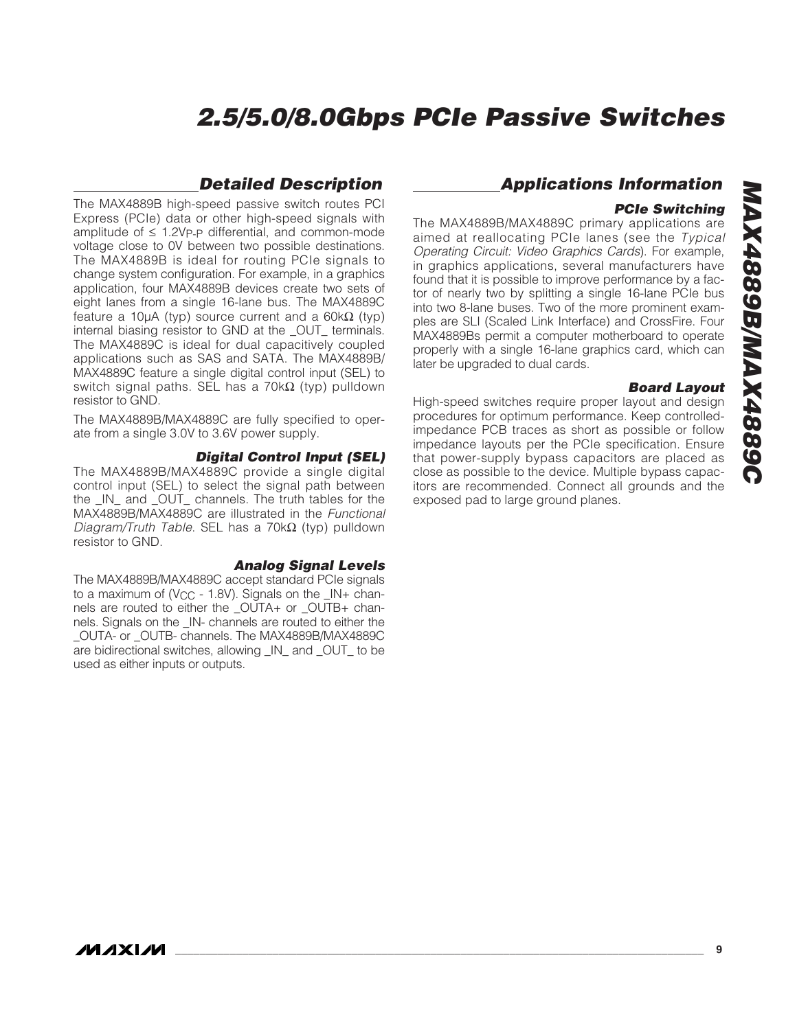#### **Detailed Description**

The MAX4889B high-speed passive switch routes PCI Express (PCIe) data or other high-speed signals with amplitude of  $\leq$  1.2Vp-p differential, and common-mode voltage close to 0V between two possible destinations. The MAX4889B is ideal for routing PCIe signals to change system configuration. For example, in a graphics application, four MAX4889B devices create two sets of eight lanes from a single 16-lane bus. The MAX4889C feature a 10µA (typ) source current and a  $60k\Omega$  (typ) internal biasing resistor to GND at the \_OUT\_ terminals. The MAX4889C is ideal for dual capacitively coupled applications such as SAS and SATA. The MAX4889B/ MAX4889C feature a single digital control input (SEL) to switch signal paths. SEL has a 70kΩ (typ) pulldown resistor to GND.

The MAX4889B/MAX4889C are fully specified to operate from a single 3.0V to 3.6V power supply.

#### **Digital Control Input (SEL)**

The MAX4889B/MAX4889C provide a single digital control input (SEL) to select the signal path between the \_IN\_ and \_OUT\_ channels. The truth tables for the MAX4889B/MAX4889C are illustrated in the Functional Diagram/Truth Table. SEL has a 70kΩ (typ) pulldown resistor to GND.

#### **Analog Signal Levels**

The MAX4889B/MAX4889C accept standard PCIe signals to a maximum of (V<sub>CC</sub> - 1.8V). Signals on the  $\mu$ - channels are routed to either the \_OUTA+ or \_OUTB+ channels. Signals on the \_IN- channels are routed to either the \_OUTA- or \_OUTB- channels. The MAX4889B/MAX4889C are bidirectional switches, allowing \_IN\_ and \_OUT\_ to be used as either inputs or outputs.

#### **Applications Information**

#### **PCIe Switching**

The MAX4889B/MAX4889C primary applications are aimed at reallocating PCIe lanes (see the Typical Operating Circuit: Video Graphics Cards). For example, in graphics applications, several manufacturers have found that it is possible to improve performance by a factor of nearly two by splitting a single 16-lane PCIe bus into two 8-lane buses. Two of the more prominent examples are SLI (Scaled Link Interface) and CrossFire. Four MAX4889Bs permit a computer motherboard to operate properly with a single 16-lane graphics card, which can later be upgraded to dual cards.

#### **Board Layout**

High-speed switches require proper layout and design procedures for optimum performance. Keep controlledimpedance PCB traces as short as possible or follow impedance layouts per the PCIe specification. Ensure that power-supply bypass capacitors are placed as close as possible to the device. Multiple bypass capacitors are recommended. Connect all grounds and the exposed pad to large ground planes.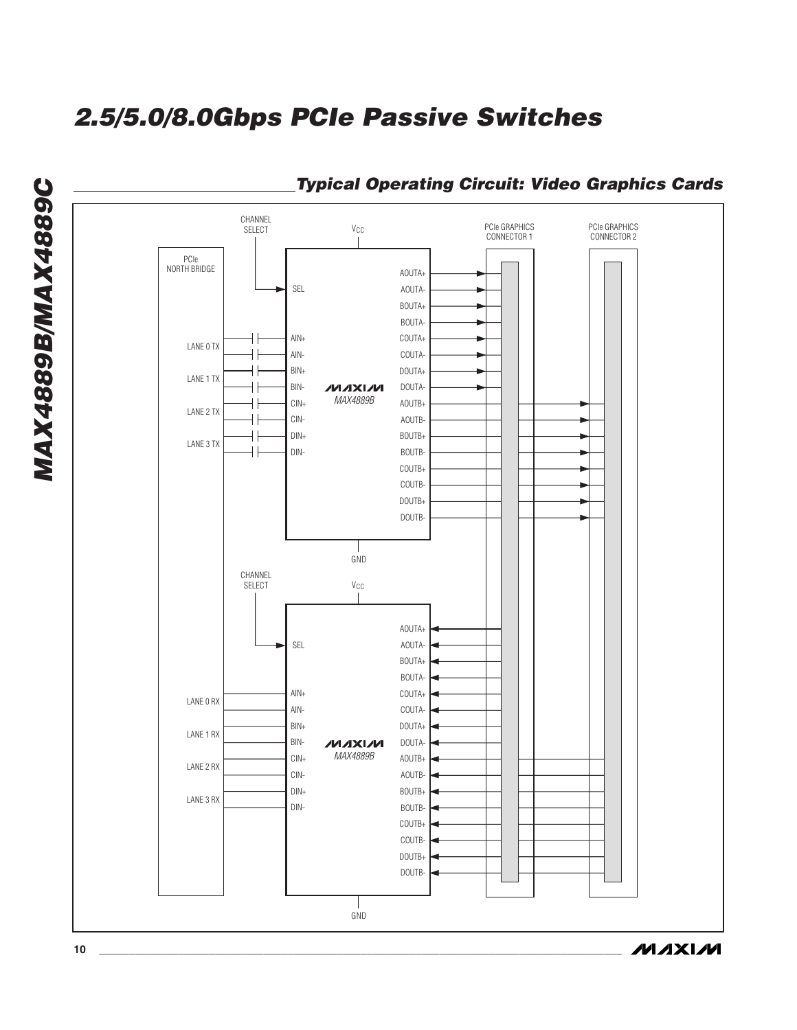

### **Typical Operating Circuit: Video Graphics Cards**

**MAXIM** 

**MAX4889B/MAX4889C**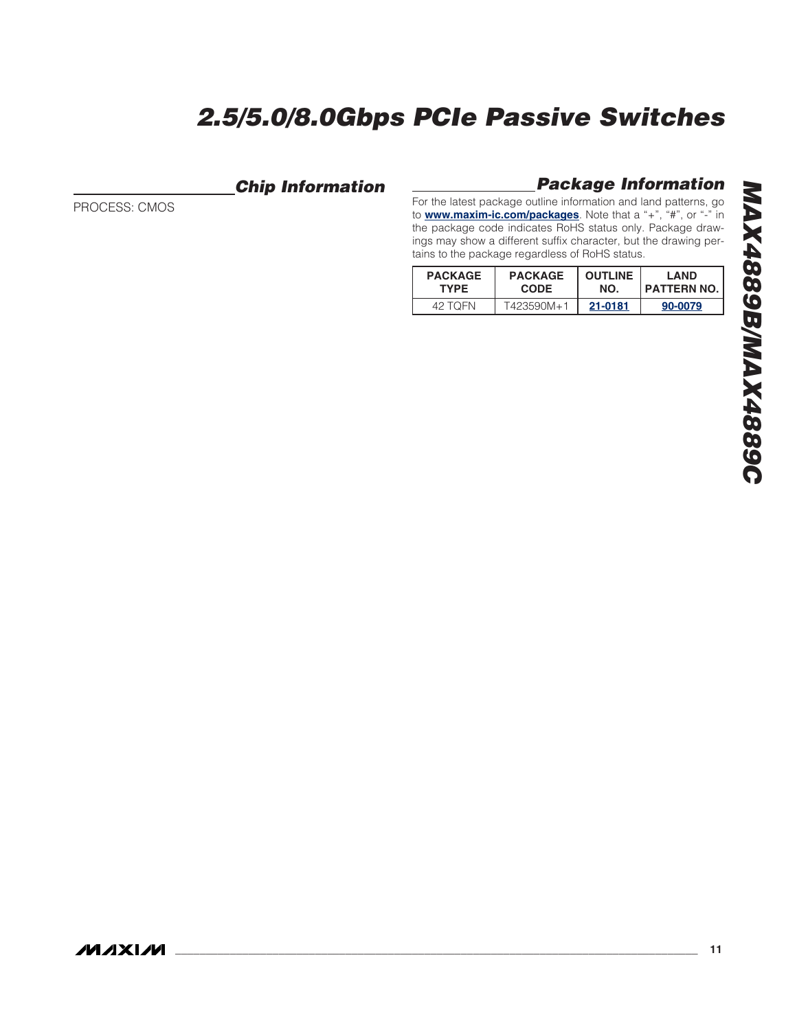## **Chip Information**

PROCESS: CMOS

### **Package Information**

For the latest package outline information and land patterns, go to **www.maxim-ic.com/packages**. Note that a "+", "#", or "-" in the package code indicates RoHS status only. Package drawings may show a different suffix character, but the drawing pertains to the package regardless of RoHS status.

| <b>PACKAGE</b> | <b>PACKAGE</b> | <b>OUTLINE</b> | I AND              |
|----------------|----------------|----------------|--------------------|
| <b>TYPE</b>    | <b>CODE</b>    | NO.            | <b>PATTERN NO.</b> |
| 42 TOFN        | T423590M+1     | 21-0181        | 90-0079            |